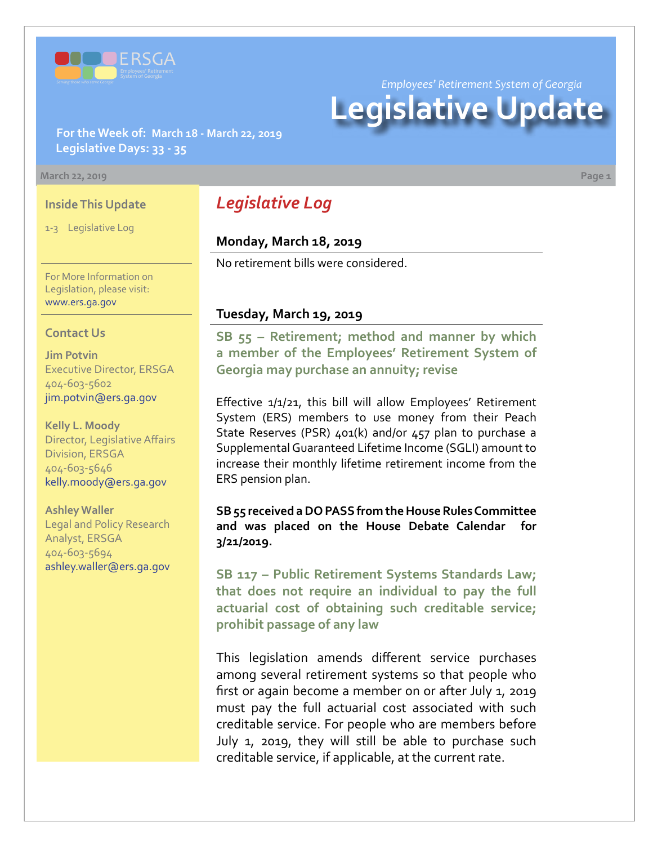

*Employees' Retirement System of Georgia*

# **Legislative Update**

**For the Week of: March 18 - March 22, 2019 Legislative Days: 33 - 35**

#### **March 22, 2019 Page 1**

### **Inside This Update**

1-3 Legislative Log

For More Information on Legislation, please visit: [www.ers.ga.gov](http://www.ers.ga.gov/)

#### **Contact Us**

**Jim Potvin** Executive Director, ERSGA 404-603-5602 jim.potvin@ers.ga.gov

**Kelly L. Moody** Director, Legislative Affairs Division, ERSGA 404-603-5646 kelly.moody@ers.ga.gov

**Ashley Waller** Legal and Policy Research Analyst, ERSGA 404-603-5694 ashley.waller@ers.ga.gov

# *Legislative Log*

# **Monday, March 18, 2019**

No retirement bills were considered.

## **Tuesday, March 19, 2019**

**SB 5[5 –](http://www.legis.ga.gov/legislation/en-US/Display/20192020/SB/55) Retirement; method and manner by which a member of the Employees' Retirement System of Georgia may purchase an annuity; revise**

Effective 1/1/21, this bill will allow Employees' Retirement System (ERS) members to use money from their Peach State Reserves (PSR) 401(k) and/or 457 plan to purchase a Supplemental Guaranteed Lifetime Income (SGLI) amount to increase their monthly lifetime retirement income from the ERS pension plan.

**SB 55 received a DO PASS from the House Rules Committee and was placed on the House Debate Calendar for 3/21/2019.** 

**SB 11[7 –](http://www.legis.ga.gov/legislation/en-US/Display/20192020/SB/117) Public Retirement Systems Standards Law; that does not require an individual to pay the full actuarial cost of obtaining such creditable service; prohibit passage of any law**

This legislation amends different service purchases among several retirement systems so that people who first or again become a member on or after July 1, 2019 must pay the full actuarial cost associated with such creditable service. For people who are members before July 1, 2019, they will still be able to purchase such creditable service, if applicable, at the current rate.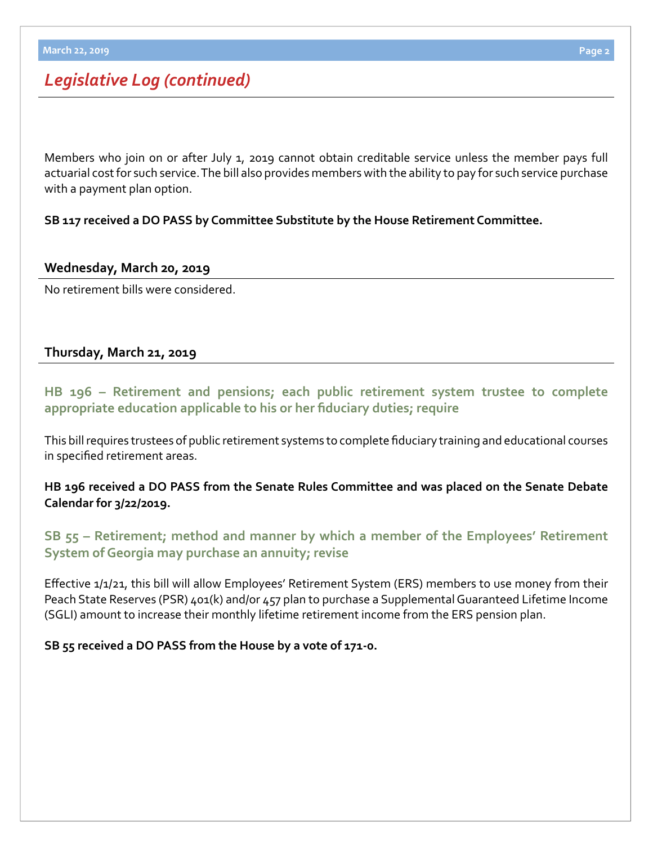# *Legislative Log (continued)*

Members who join on or after July 1, 2019 cannot obtain creditable service unless the member pays full actuarial cost for such service. The bill also provides members with the ability to pay for such service purchase with a payment plan option.

**SB 117 received a DO PASS by Committee Substitute by the House Retirement Committee.** 

## **Wednesday, March 20, 2019**

No retirement bills were considered.

# **Thursday, March 21, 2019**

**HB 19[6 – R](http://www.legis.ga.gov/legislation/en-US/Display/20192020/HB/196)etirement and pensions; each public retirement system trustee to complete appropriate education applicable to his or her fiduciary duties; require**

This bill requires trustees of public retirement systems to complete fiduciary training and educational courses in specified retirement areas.

**HB 196 received a DO PASS from the Senate Rules Committee and was placed on the Senate Debate Calendar for 3/22/2019.**

# **SB 5[5 – R](http://www.legis.ga.gov/legislation/en-US/Display/20192020/SB/55)etirement; method and manner by which a member of the Employees' Retirement System of Georgia may purchase an annuity; revise**

Effective 1/1/21, this bill will allow Employees' Retirement System (ERS) members to use money from their Peach State Reserves (PSR) 401(k) and/or 457 plan to purchase a Supplemental Guaranteed Lifetime Income (SGLI) amount to increase their monthly lifetime retirement income from the ERS pension plan.

# **SB 55 received a DO PASS from the House by a vote of 171-0.**